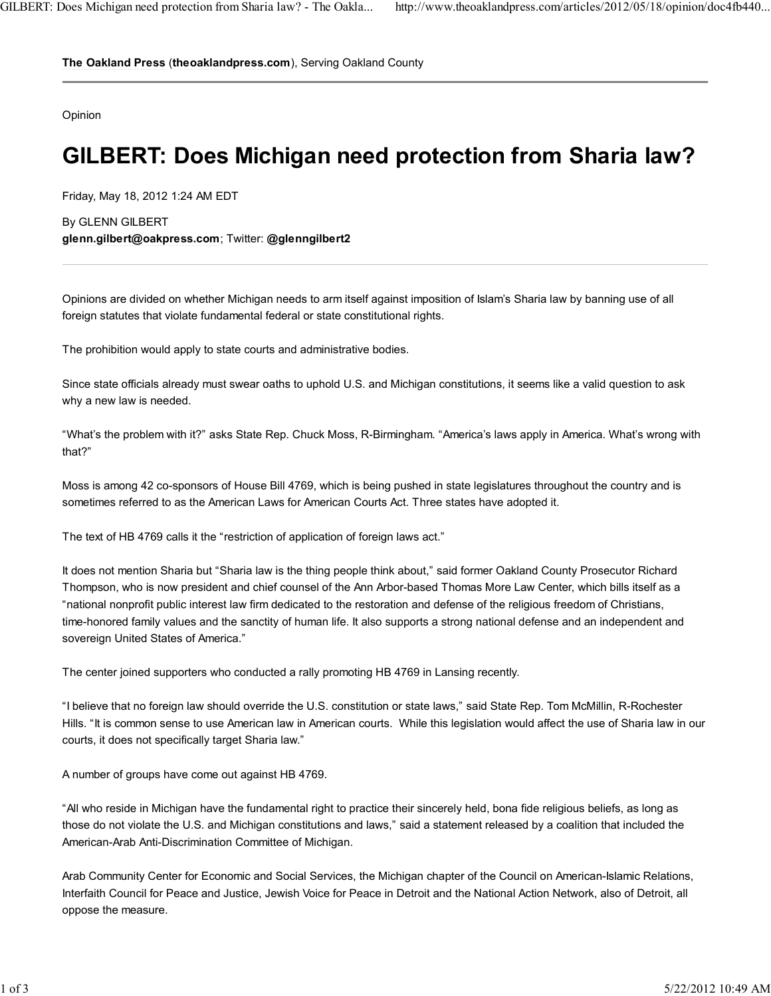**The Oakland Press** (**theoaklandpress.com**), Serving Oakland County

Opinion

## **GILBERT: Does Michigan need protection from Sharia law?**

Friday, May 18, 2012 1:24 AM EDT

By GLENN GILBERT **glenn.gilbert@oakpress.com**; Twitter: **@glenngilbert2**

Opinions are divided on whether Michigan needs to arm itself against imposition of Islam's Sharia law by banning use of all foreign statutes that violate fundamental federal or state constitutional rights.

The prohibition would apply to state courts and administrative bodies.

Since state officials already must swear oaths to uphold U.S. and Michigan constitutions, it seems like a valid question to ask why a new law is needed.

"What's the problem with it?" asks State Rep. Chuck Moss, R-Birmingham. "America's laws apply in America. What's wrong with that?"

Moss is among 42 co-sponsors of House Bill 4769, which is being pushed in state legislatures throughout the country and is sometimes referred to as the American Laws for American Courts Act. Three states have adopted it.

The text of HB 4769 calls it the "restriction of application of foreign laws act."

It does not mention Sharia but "Sharia law is the thing people think about," said former Oakland County Prosecutor Richard Thompson, who is now president and chief counsel of the Ann Arbor-based Thomas More Law Center, which bills itself as a "national nonprofit public interest law firm dedicated to the restoration and defense of the religious freedom of Christians, time-honored family values and the sanctity of human life. It also supports a strong national defense and an independent and sovereign United States of America."

The center joined supporters who conducted a rally promoting HB 4769 in Lansing recently.

"I believe that no foreign law should override the U.S. constitution or state laws," said State Rep. Tom McMillin, R-Rochester Hills. "It is common sense to use American law in American courts. While this legislation would affect the use of Sharia law in our courts, it does not specifically target Sharia law."

A number of groups have come out against HB 4769.

"All who reside in Michigan have the fundamental right to practice their sincerely held, bona fide religious beliefs, as long as those do not violate the U.S. and Michigan constitutions and laws," said a statement released by a coalition that included the American-Arab Anti-Discrimination Committee of Michigan.

Arab Community Center for Economic and Social Services, the Michigan chapter of the Council on American-Islamic Relations, Interfaith Council for Peace and Justice, Jewish Voice for Peace in Detroit and the National Action Network, also of Detroit, all oppose the measure.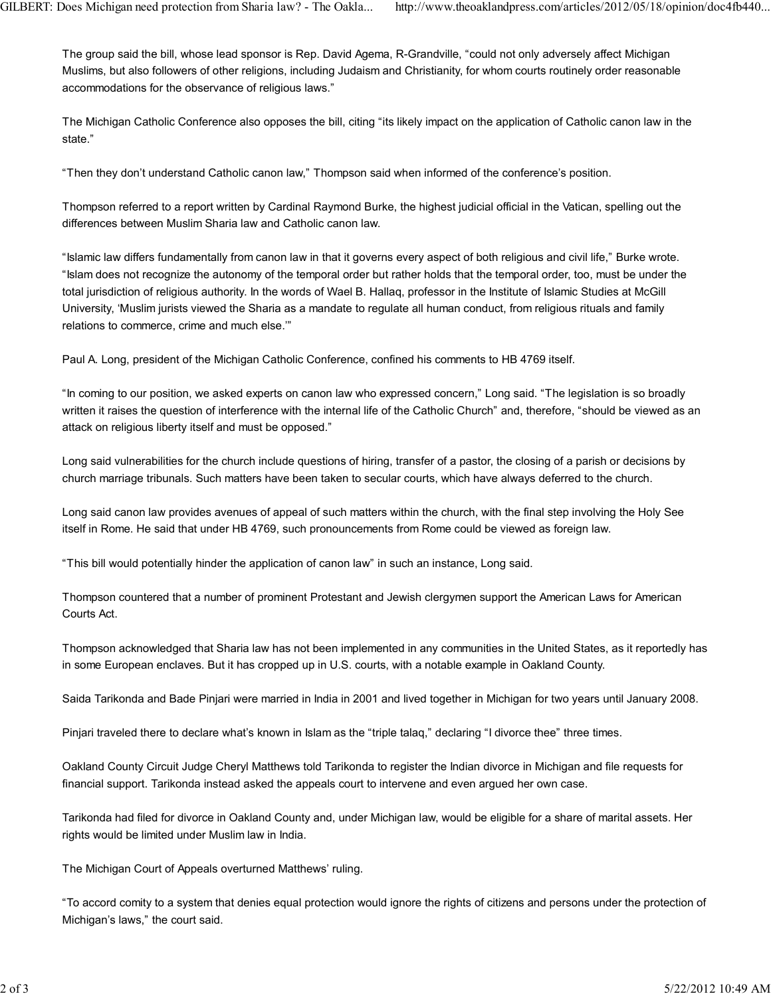The group said the bill, whose lead sponsor is Rep. David Agema, R-Grandville, "could not only adversely affect Michigan Muslims, but also followers of other religions, including Judaism and Christianity, for whom courts routinely order reasonable accommodations for the observance of religious laws."

The Michigan Catholic Conference also opposes the bill, citing "its likely impact on the application of Catholic canon law in the state."

"Then they don't understand Catholic canon law," Thompson said when informed of the conference's position.

Thompson referred to a report written by Cardinal Raymond Burke, the highest judicial official in the Vatican, spelling out the differences between Muslim Sharia law and Catholic canon law.

"Islamic law differs fundamentally from canon law in that it governs every aspect of both religious and civil life," Burke wrote. "Islam does not recognize the autonomy of the temporal order but rather holds that the temporal order, too, must be under the total jurisdiction of religious authority. In the words of Wael B. Hallaq, professor in the Institute of Islamic Studies at McGill University, 'Muslim jurists viewed the Sharia as a mandate to regulate all human conduct, from religious rituals and family relations to commerce, crime and much else.'"

Paul A. Long, president of the Michigan Catholic Conference, confined his comments to HB 4769 itself.

"In coming to our position, we asked experts on canon law who expressed concern," Long said. "The legislation is so broadly written it raises the question of interference with the internal life of the Catholic Church" and, therefore, "should be viewed as an attack on religious liberty itself and must be opposed."

Long said vulnerabilities for the church include questions of hiring, transfer of a pastor, the closing of a parish or decisions by church marriage tribunals. Such matters have been taken to secular courts, which have always deferred to the church.

Long said canon law provides avenues of appeal of such matters within the church, with the final step involving the Holy See itself in Rome. He said that under HB 4769, such pronouncements from Rome could be viewed as foreign law.

"This bill would potentially hinder the application of canon law" in such an instance, Long said.

Thompson countered that a number of prominent Protestant and Jewish clergymen support the American Laws for American Courts Act.

Thompson acknowledged that Sharia law has not been implemented in any communities in the United States, as it reportedly has in some European enclaves. But it has cropped up in U.S. courts, with a notable example in Oakland County.

Saida Tarikonda and Bade Pinjari were married in India in 2001 and lived together in Michigan for two years until January 2008.

Pinjari traveled there to declare what's known in Islam as the "triple talaq," declaring "I divorce thee" three times.

Oakland County Circuit Judge Cheryl Matthews told Tarikonda to register the Indian divorce in Michigan and file requests for financial support. Tarikonda instead asked the appeals court to intervene and even argued her own case.

Tarikonda had filed for divorce in Oakland County and, under Michigan law, would be eligible for a share of marital assets. Her rights would be limited under Muslim law in India.

The Michigan Court of Appeals overturned Matthews' ruling.

"To accord comity to a system that denies equal protection would ignore the rights of citizens and persons under the protection of Michigan's laws," the court said.